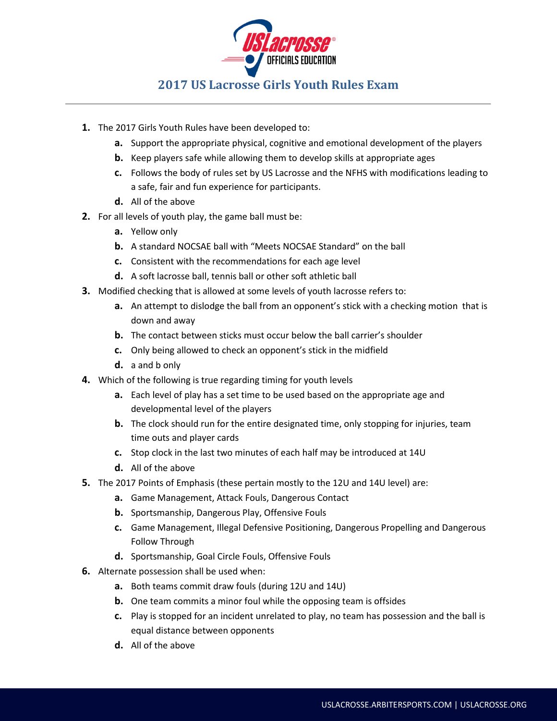

## **2017 US Lacrosse Girls Youth Rules Exam**

- **1.** The 2017 Girls Youth Rules have been developed to:
	- **a.** Support the appropriate physical, cognitive and emotional development of the players
	- **b.** Keep players safe while allowing them to develop skills at appropriate ages
	- **c.** Follows the body of rules set by US Lacrosse and the NFHS with modifications leading to a safe, fair and fun experience for participants.
	- **d.** All of the above
- **2.** For all levels of youth play, the game ball must be:
	- **a.** Yellow only
	- **b.** A standard NOCSAE ball with "Meets NOCSAE Standard" on the ball
	- **c.** Consistent with the recommendations for each age level
	- **d.** A soft lacrosse ball, tennis ball or other soft athletic ball
- **3.** Modified checking that is allowed at some levels of youth lacrosse refers to:
	- **a.** An attempt to dislodge the ball from an opponent's stick with a checking motion that is down and away
	- **b.** The contact between sticks must occur below the ball carrier's shoulder
	- **c.** Only being allowed to check an opponent's stick in the midfield
	- **d.** a and b only
- **4.** Which of the following is true regarding timing for youth levels
	- **a.** Each level of play has a set time to be used based on the appropriate age and developmental level of the players
	- **b.** The clock should run for the entire designated time, only stopping for injuries, team time outs and player cards
	- **c.** Stop clock in the last two minutes of each half may be introduced at 14U
	- **d.** All of the above
- **5.** The 2017 Points of Emphasis (these pertain mostly to the 12U and 14U level) are:
	- **a.** Game Management, Attack Fouls, Dangerous Contact
	- **b.** Sportsmanship, Dangerous Play, Offensive Fouls
	- **c.** Game Management, Illegal Defensive Positioning, Dangerous Propelling and Dangerous Follow Through
	- **d.** Sportsmanship, Goal Circle Fouls, Offensive Fouls
- **6.** Alternate possession shall be used when:
	- **a.** Both teams commit draw fouls (during 12U and 14U)
	- **b.** One team commits a minor foul while the opposing team is offsides
	- **c.** Play is stopped for an incident unrelated to play, no team has possession and the ball is equal distance between opponents
	- **d.** All of the above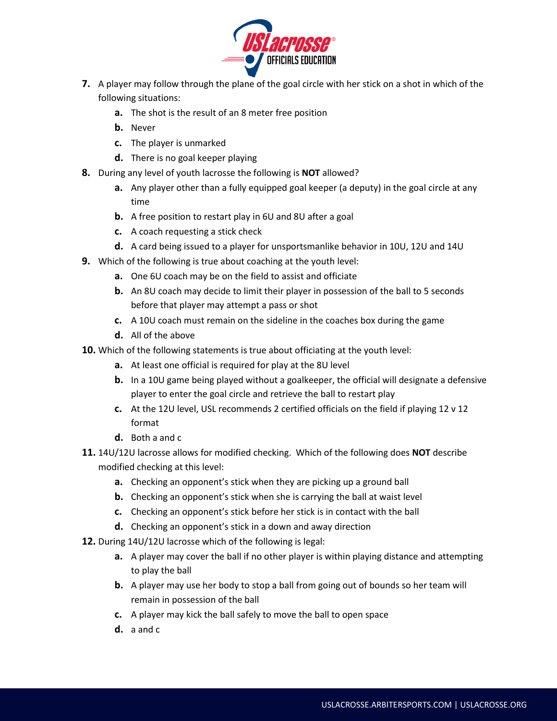

- **7.** A player may follow through the plane of the goal circle with her stick on a shot in which of the following situations:
	- **a.** The shot is the result of an 8 meter free position
	- **b.** Never
	- **c.** The player is unmarked
	- **d.** There is no goal keeper playing
- **8.** During any level of youth lacrosse the following is **NOT** allowed?
	- **a.** Any player other than a fully equipped goal keeper (a deputy) in the goal circle at any time
	- **b.** A free position to restart play in 6U and 8U after a goal
	- **c.** A coach requesting a stick check
	- **d.** A card being issued to a player for unsportsmanlike behavior in 10U, 12U and 14U
- **9.** Which of the following is true about coaching at the youth level:
	- **a.** One 6U coach may be on the field to assist and officiate
	- **b.** An 8U coach may decide to limit their player in possession of the ball to 5 seconds before that player may attempt a pass or shot
	- **c.** A 10U coach must remain on the sideline in the coaches box during the game
	- **d.** All of the above
- **10.** Which of the following statements is true about officiating at the youth level:
	- **a.** At least one official is required for play at the 8U level
	- **b.** In a 10U game being played without a goalkeeper, the official will designate a defensive player to enter the goal circle and retrieve the ball to restart play
	- **c.** At the 12U level, USL recommends 2 certified officials on the field if playing 12 v 12 format
	- **d.** Both a and c
- **11.** 14U/12U lacrosse allows for modified checking. Which of the following does **NOT** describe modified checking at this level:
	- **a.** Checking an opponent's stick when they are picking up a ground ball
	- **b.** Checking an opponent's stick when she is carrying the ball at waist level
	- **c.** Checking an opponent's stick before her stick is in contact with the ball
	- **d.** Checking an opponent's stick in a down and away direction
- **12.** During 14U/12U lacrosse which of the following is legal:
	- **a.** A player may cover the ball if no other player is within playing distance and attempting to play the ball
	- **b.** A player may use her body to stop a ball from going out of bounds so her team will remain in possession of the ball
	- **c.** A player may kick the ball safely to move the ball to open space
	- **d.** a and c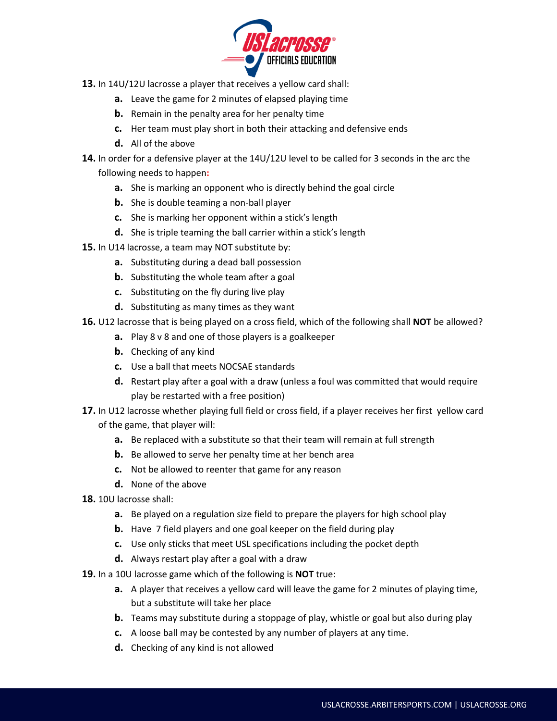

- **13.** In 14U/12U lacrosse a player that receives a yellow card shall:
	- **a.** Leave the game for 2 minutes of elapsed playing time
	- **b.** Remain in the penalty area for her penalty time
	- **c.** Her team must play short in both their attacking and defensive ends
	- **d.** All of the above
- **14.** In order for a defensive player at the 14U/12U level to be called for 3 seconds in the arc the following needs to happen**:**
	- **a.** She is marking an opponent who is directly behind the goal circle
	- **b.** She is double teaming a non-ball player
	- **c.** She is marking her opponent within a stick's length
	- **d.** She is triple teaming the ball carrier within a stick's length
- **15.** In U14 lacrosse, a team may NOT substitute by:
	- **a.** Substituting during a dead ball possession
	- **b.** Substituting the whole team after a goal
	- **c.** Substituting on the fly during live play
	- **d.** Substituting as many times as they want
- **16.** U12 lacrosse that is being played on a cross field, which of the following shall **NOT** be allowed?
	- **a.** Play 8 v 8 and one of those players is a goalkeeper
	- **b.** Checking of any kind
	- **c.** Use a ball that meets NOCSAE standards
	- **d.** Restart play after a goal with a draw (unless a foul was committed that would require play be restarted with a free position)
- **17.** In U12 lacrosse whether playing full field or cross field, if a player receives her first yellow card of the game, that player will:
	- **a.** Be replaced with a substitute so that their team will remain at full strength
	- **b.** Be allowed to serve her penalty time at her bench area
	- **c.** Not be allowed to reenter that game for any reason
	- **d.** None of the above
- **18.** 10U lacrosse shall:
	- **a.** Be played on a regulation size field to prepare the players for high school play
	- **b.** Have 7 field players and one goal keeper on the field during play
	- **c.** Use only sticks that meet USL specifications including the pocket depth
	- **d.** Always restart play after a goal with a draw
- **19.** In a 10U lacrosse game which of the following is **NOT** true:
	- **a.** A player that receives a yellow card will leave the game for 2 minutes of playing time, but a substitute will take her place
	- **b.** Teams may substitute during a stoppage of play, whistle or goal but also during play
	- **c.** A loose ball may be contested by any number of players at any time.
	- **d.** Checking of any kind is not allowed